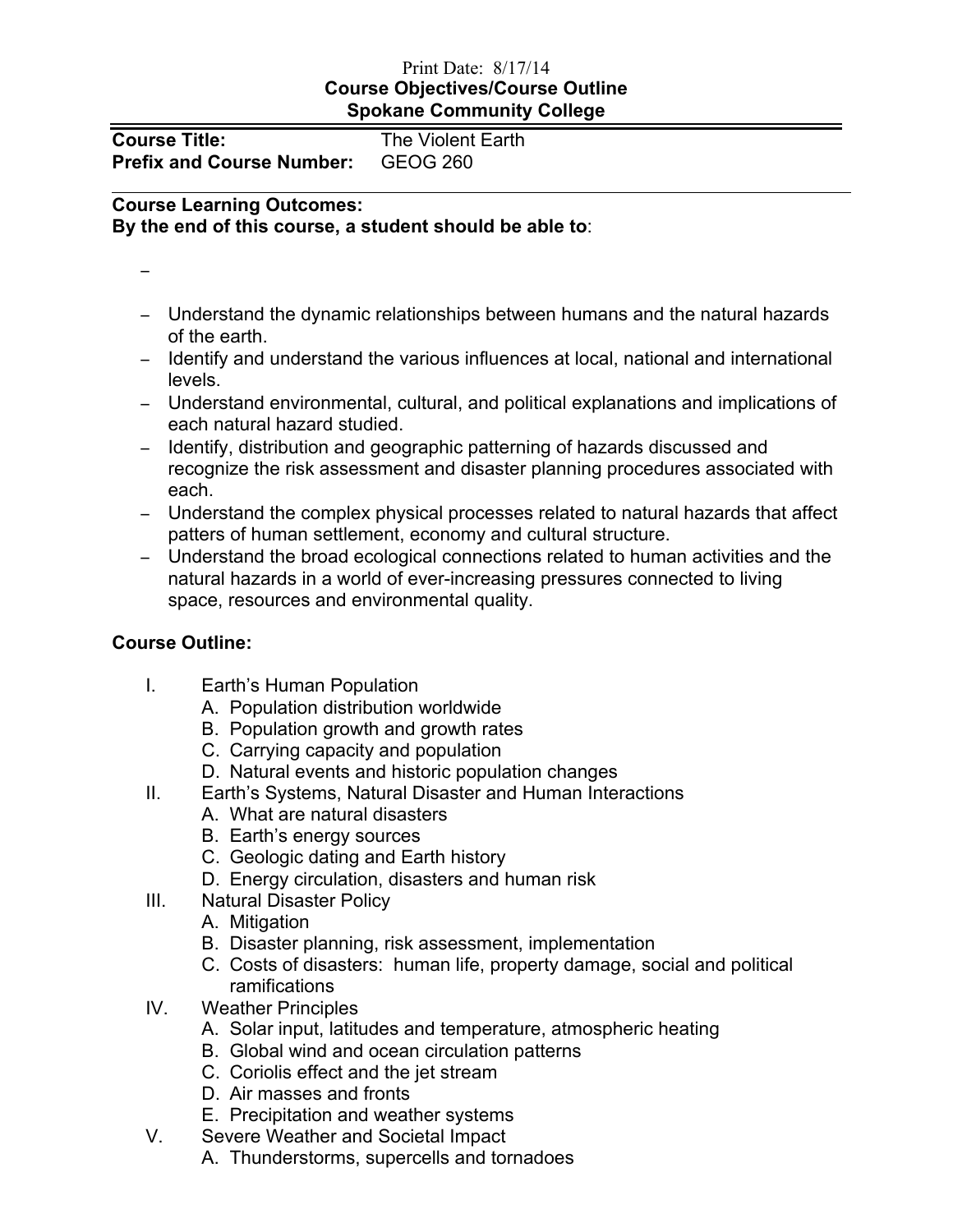## Print Date: 8/17/14 **Course Objectives/Course Outline Spokane Community College**

| Course Title:                    | <b>The Violent Earth</b> |
|----------------------------------|--------------------------|
| <b>Prefix and Course Number:</b> | GEOG 260                 |

### **Course Learning Outcomes:**

**By the end of this course, a student should be able to**:

−

- − Understand the dynamic relationships between humans and the natural hazards of the earth.
- − Identify and understand the various influences at local, national and international levels.
- − Understand environmental, cultural, and political explanations and implications of each natural hazard studied.
- − Identify, distribution and geographic patterning of hazards discussed and recognize the risk assessment and disaster planning procedures associated with each.
- − Understand the complex physical processes related to natural hazards that affect patters of human settlement, economy and cultural structure.
- − Understand the broad ecological connections related to human activities and the natural hazards in a world of ever-increasing pressures connected to living space, resources and environmental quality.

# **Course Outline:**

- I. Earth's Human Population
	- A. Population distribution worldwide
	- B. Population growth and growth rates
	- C. Carrying capacity and population
	- D. Natural events and historic population changes
- II. Earth's Systems, Natural Disaster and Human Interactions
	- A. What are natural disasters
	- B. Earth's energy sources
	- C. Geologic dating and Earth history
	- D. Energy circulation, disasters and human risk
- III. Natural Disaster Policy
	- A. Mitigation
	- B. Disaster planning, risk assessment, implementation
	- C. Costs of disasters: human life, property damage, social and political ramifications
- IV. Weather Principles
	- A. Solar input, latitudes and temperature, atmospheric heating
	- B. Global wind and ocean circulation patterns
	- C. Coriolis effect and the jet stream
	- D. Air masses and fronts
	- E. Precipitation and weather systems
- V. Severe Weather and Societal Impact
	- A. Thunderstorms, supercells and tornadoes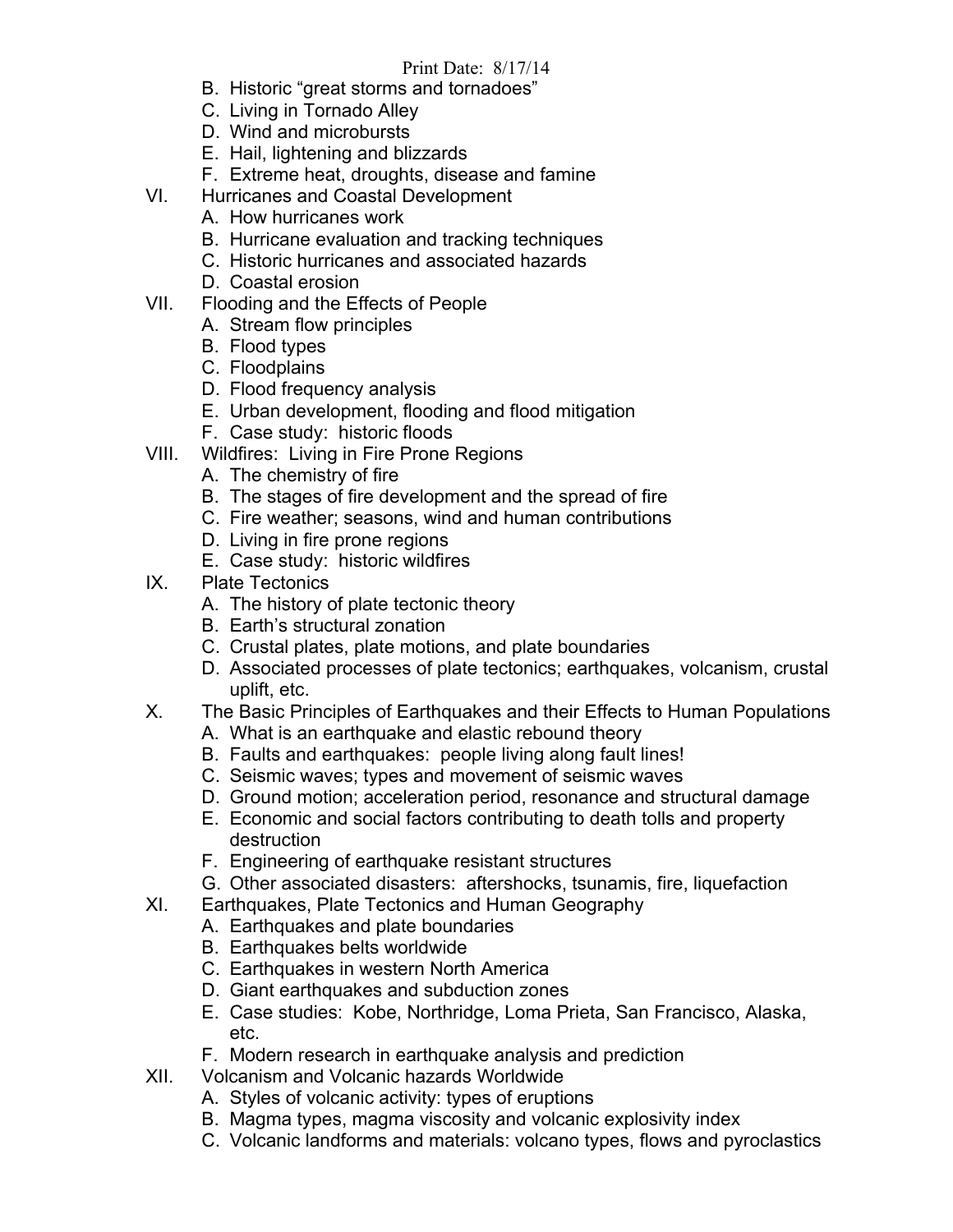#### Print Date: 8/17/14

- B. Historic "great storms and tornadoes"
- C. Living in Tornado Alley
- D. Wind and microbursts
- E. Hail, lightening and blizzards
- F. Extreme heat, droughts, disease and famine
- VI. Hurricanes and Coastal Development
	- A. How hurricanes work
	- B. Hurricane evaluation and tracking techniques
	- C. Historic hurricanes and associated hazards
	- D. Coastal erosion
- VII. Flooding and the Effects of People
	- A. Stream flow principles
	- B. Flood types
	- C. Floodplains
	- D. Flood frequency analysis
	- E. Urban development, flooding and flood mitigation
	- F. Case study: historic floods
- VIII. Wildfires: Living in Fire Prone Regions
	- A. The chemistry of fire
	- B. The stages of fire development and the spread of fire
	- C. Fire weather; seasons, wind and human contributions
	- D. Living in fire prone regions
	- E. Case study: historic wildfires
- IX. Plate Tectonics
	- A. The history of plate tectonic theory
	- B. Earth's structural zonation
	- C. Crustal plates, plate motions, and plate boundaries
	- D. Associated processes of plate tectonics; earthquakes, volcanism, crustal uplift, etc.
- X. The Basic Principles of Earthquakes and their Effects to Human Populations
	- A. What is an earthquake and elastic rebound theory
	- B. Faults and earthquakes: people living along fault lines!
	- C. Seismic waves; types and movement of seismic waves
	- D. Ground motion; acceleration period, resonance and structural damage
	- E. Economic and social factors contributing to death tolls and property destruction
	- F. Engineering of earthquake resistant structures
	- G. Other associated disasters: aftershocks, tsunamis, fire, liquefaction
- XI. Earthquakes, Plate Tectonics and Human Geography
	- A. Earthquakes and plate boundaries
	- B. Earthquakes belts worldwide
	- C. Earthquakes in western North America
	- D. Giant earthquakes and subduction zones
	- E. Case studies: Kobe, Northridge, Loma Prieta, San Francisco, Alaska, etc.
	- F. Modern research in earthquake analysis and prediction
- XII. Volcanism and Volcanic hazards Worldwide
	- A. Styles of volcanic activity: types of eruptions
	- B. Magma types, magma viscosity and volcanic explosivity index
	- C. Volcanic landforms and materials: volcano types, flows and pyroclastics